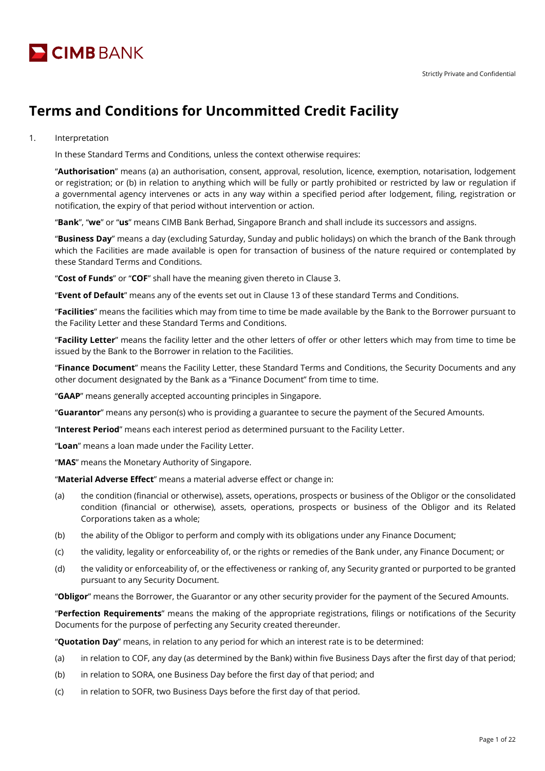

# **Terms and Conditions for Uncommitted Credit Facility**

1. Interpretation

In these Standard Terms and Conditions, unless the context otherwise requires:

"**Authorisation**" means (a) an authorisation, consent, approval, resolution, licence, exemption, notarisation, lodgement or registration; or (b) in relation to anything which will be fully or partly prohibited or restricted by law or regulation if a governmental agency intervenes or acts in any way within a specified period after lodgement, filing, registration or notification, the expiry of that period without intervention or action.

"**Bank**", "**we**" or "**us**" means CIMB Bank Berhad, Singapore Branch and shall include its successors and assigns.

"**Business Day**" means a day (excluding Saturday, Sunday and public holidays) on which the branch of the Bank through which the Facilities are made available is open for transaction of business of the nature required or contemplated by these Standard Terms and Conditions.

"**Cost of Funds**" or "**COF**" shall have the meaning given thereto in Clause 3.

"**Event of Default**" means any of the events set out in Clause 13 of these standard Terms and Conditions.

"**Facilities**" means the facilities which may from time to time be made available by the Bank to the Borrower pursuant to the Facility Letter and these Standard Terms and Conditions.

"**Facility Letter**" means the facility letter and the other letters of offer or other letters which may from time to time be issued by the Bank to the Borrower in relation to the Facilities.

"**Finance Document**" means the Facility Letter, these Standard Terms and Conditions, the Security Documents and any other document designated by the Bank as a "Finance Document" from time to time.

"**GAAP**" means generally accepted accounting principles in Singapore.

"**Guarantor**" means any person(s) who is providing a guarantee to secure the payment of the Secured Amounts.

"**Interest Period**" means each interest period as determined pursuant to the Facility Letter.

"**Loan**" means a loan made under the Facility Letter.

"**MAS**" means the Monetary Authority of Singapore.

"**Material Adverse Effect**" means a material adverse effect or change in:

- (a) the condition (financial or otherwise), assets, operations, prospects or business of the Obligor or the consolidated condition (financial or otherwise), assets, operations, prospects or business of the Obligor and its Related Corporations taken as a whole;
- (b) the ability of the Obligor to perform and comply with its obligations under any Finance Document;
- (c) the validity, legality or enforceability of, or the rights or remedies of the Bank under, any Finance Document; or
- (d) the validity or enforceability of, or the effectiveness or ranking of, any Security granted or purported to be granted pursuant to any Security Document.

"**Obligor**" means the Borrower, the Guarantor or any other security provider for the payment of the Secured Amounts.

"**Perfection Requirements**" means the making of the appropriate registrations, filings or notifications of the Security Documents for the purpose of perfecting any Security created thereunder.

"**Quotation Day**" means, in relation to any period for which an interest rate is to be determined:

- (a) in relation to COF, any day (as determined by the Bank) within five Business Days after the first day of that period;
- (b) in relation to SORA, one Business Day before the first day of that period; and
- (c) in relation to SOFR, two Business Days before the first day of that period.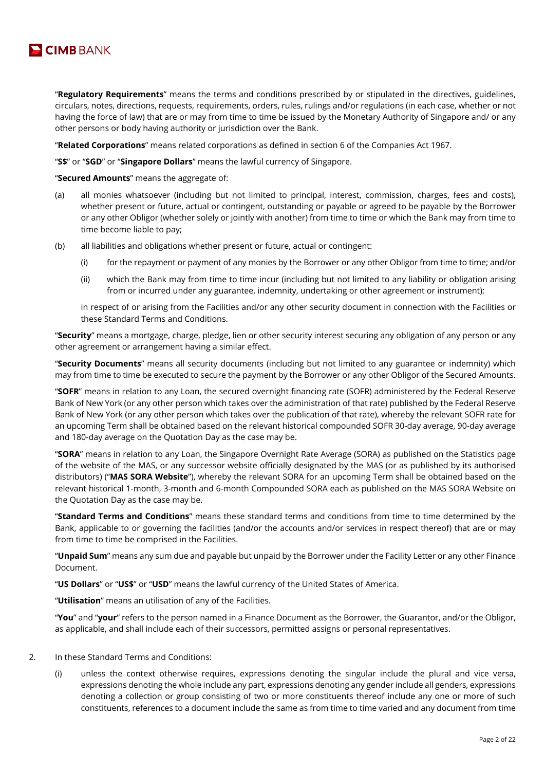

"**Regulatory Requirements**" means the terms and conditions prescribed by or stipulated in the directives, guidelines, circulars, notes, directions, requests, requirements, orders, rules, rulings and/or regulations (in each case, whether or not having the force of law) that are or may from time to time be issued by the Monetary Authority of Singapore and/ or any other persons or body having authority or jurisdiction over the Bank.

"**Related Corporations**" means related corporations as defined in section 6 of the Companies Act 1967.

"**S\$**" or "**SGD**" or "**Singapore Dollars**" means the lawful currency of Singapore.

"**Secured Amounts**" means the aggregate of:

- (a) all monies whatsoever (including but not limited to principal, interest, commission, charges, fees and costs), whether present or future, actual or contingent, outstanding or payable or agreed to be payable by the Borrower or any other Obligor (whether solely or jointly with another) from time to time or which the Bank may from time to time become liable to pay;
- (b) all liabilities and obligations whether present or future, actual or contingent:
	- (i) for the repayment or payment of any monies by the Borrower or any other Obligor from time to time; and/or
	- (ii) which the Bank may from time to time incur (including but not limited to any liability or obligation arising from or incurred under any guarantee, indemnity, undertaking or other agreement or instrument);

in respect of or arising from the Facilities and/or any other security document in connection with the Facilities or these Standard Terms and Conditions.

"**Security**" means a mortgage, charge, pledge, lien or other security interest securing any obligation of any person or any other agreement or arrangement having a similar effect.

"**Security Documents**" means all security documents (including but not limited to any guarantee or indemnity) which may from time to time be executed to secure the payment by the Borrower or any other Obligor of the Secured Amounts.

"**SOFR**" means in relation to any Loan, the secured overnight financing rate (SOFR) administered by the Federal Reserve Bank of New York (or any other person which takes over the administration of that rate) published by the Federal Reserve Bank of New York (or any other person which takes over the publication of that rate), whereby the relevant SOFR rate for an upcoming Term shall be obtained based on the relevant historical compounded SOFR 30-day average, 90-day average and 180-day average on the Quotation Day as the case may be.

"**SORA**" means in relation to any Loan, the Singapore Overnight Rate Average (SORA) as published on the Statistics page of the website of the MAS, or any successor website officially designated by the MAS (or as published by its authorised distributors) ("**MAS SORA Website**"), whereby the relevant SORA for an upcoming Term shall be obtained based on the relevant historical 1-month, 3-month and 6-month Compounded SORA each as published on the MAS SORA Website on the Quotation Day as the case may be.

"**Standard Terms and Conditions**" means these standard terms and conditions from time to time determined by the Bank, applicable to or governing the facilities (and/or the accounts and/or services in respect thereof) that are or may from time to time be comprised in the Facilities.

"**Unpaid Sum**" means any sum due and payable but unpaid by the Borrower under the Facility Letter or any other Finance Document.

"**US Dollars**" or "**US\$**" or "**USD**" means the lawful currency of the United States of America.

"**Utilisation**" means an utilisation of any of the Facilities.

"**You**" and "**your**" refers to the person named in a Finance Document as the Borrower, the Guarantor, and/or the Obligor, as applicable, and shall include each of their successors, permitted assigns or personal representatives.

#### 2. In these Standard Terms and Conditions:

(i) unless the context otherwise requires, expressions denoting the singular include the plural and vice versa, expressions denoting the whole include any part, expressions denoting any gender include all genders, expressions denoting a collection or group consisting of two or more constituents thereof include any one or more of such constituents, references to a document include the same as from time to time varied and any document from time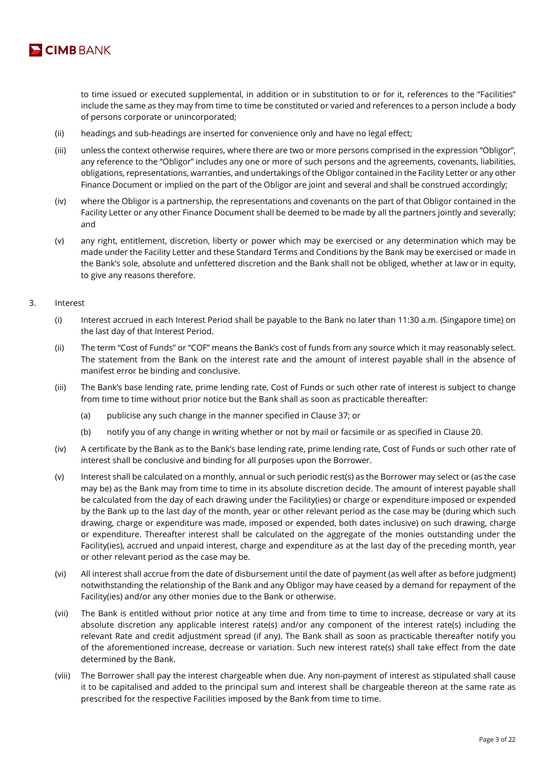

to time issued or executed supplemental, in addition or in substitution to or for it, references to the "Facilities" include the same as they may from time to time be constituted or varied and references to a person include a body of persons corporate or unincorporated;

- (ii) headings and sub-headings are inserted for convenience only and have no legal effect;
- (iii) unless the context otherwise requires, where there are two or more persons comprised in the expression "Obligor", any reference to the "Obligor" includes any one or more of such persons and the agreements, covenants, liabilities, obligations, representations, warranties, and undertakings of the Obligor contained in the Facility Letter or any other Finance Document or implied on the part of the Obligor are joint and several and shall be construed accordingly;
- (iv) where the Obligor is a partnership, the representations and covenants on the part of that Obligor contained in the Facility Letter or any other Finance Document shall be deemed to be made by all the partners jointly and severally; and
- (v) any right, entitlement, discretion, liberty or power which may be exercised or any determination which may be made under the Facility Letter and these Standard Terms and Conditions by the Bank may be exercised or made in the Bank's sole, absolute and unfettered discretion and the Bank shall not be obliged, whether at law or in equity, to give any reasons therefore.

# 3. Interest

- (i) Interest accrued in each Interest Period shall be payable to the Bank no later than 11:30 a.m. (Singapore time) on the last day of that Interest Period.
- (ii) The term "Cost of Funds" or "COF" means the Bank's cost of funds from any source which it may reasonably select. The statement from the Bank on the interest rate and the amount of interest payable shall in the absence of manifest error be binding and conclusive.
- (iii) The Bank's base lending rate, prime lending rate, Cost of Funds or such other rate of interest is subject to change from time to time without prior notice but the Bank shall as soon as practicable thereafter:
	- (a) publicise any such change in the manner specified in Clause 37; or
	- (b) notify you of any change in writing whether or not by mail or facsimile or as specified in Clause 20.
- (iv) A certificate by the Bank as to the Bank's base lending rate, prime lending rate, Cost of Funds or such other rate of interest shall be conclusive and binding for all purposes upon the Borrower.
- (v) Interest shall be calculated on a monthly, annual or such periodic rest(s) as the Borrower may select or (as the case may be) as the Bank may from time to time in its absolute discretion decide. The amount of interest payable shall be calculated from the day of each drawing under the Facility(ies) or charge or expenditure imposed or expended by the Bank up to the last day of the month, year or other relevant period as the case may be (during which such drawing, charge or expenditure was made, imposed or expended, both dates inclusive) on such drawing, charge or expenditure. Thereafter interest shall be calculated on the aggregate of the monies outstanding under the Facility(ies), accrued and unpaid interest, charge and expenditure as at the last day of the preceding month, year or other relevant period as the case may be.
- (vi) All interest shall accrue from the date of disbursement until the date of payment (as well after as before judgment) notwithstanding the relationship of the Bank and any Obligor may have ceased by a demand for repayment of the Facility(ies) and/or any other monies due to the Bank or otherwise.
- (vii) The Bank is entitled without prior notice at any time and from time to time to increase, decrease or vary at its absolute discretion any applicable interest rate(s) and/or any component of the interest rate(s) including the relevant Rate and credit adjustment spread (if any). The Bank shall as soon as practicable thereafter notify you of the aforementioned increase, decrease or variation. Such new interest rate(s) shall take effect from the date determined by the Bank.
- (viii) The Borrower shall pay the interest chargeable when due. Any non-payment of interest as stipulated shall cause it to be capitalised and added to the principal sum and interest shall be chargeable thereon at the same rate as prescribed for the respective Facilities imposed by the Bank from time to time.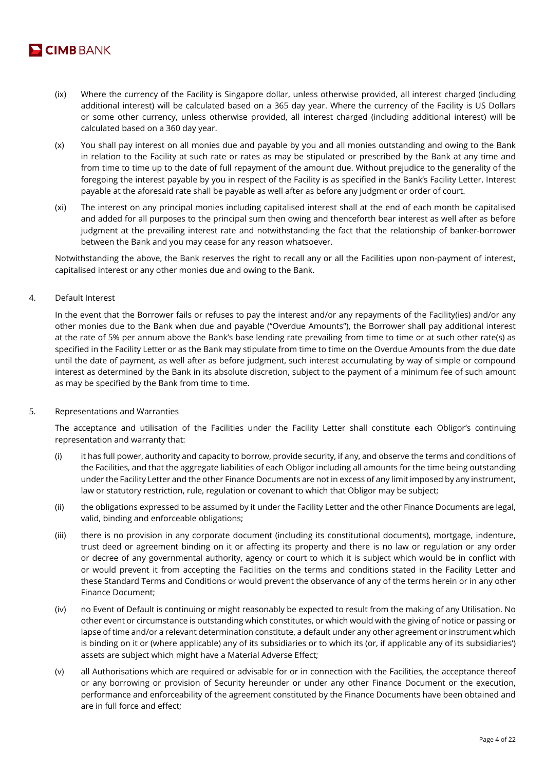

- (ix) Where the currency of the Facility is Singapore dollar, unless otherwise provided, all interest charged (including additional interest) will be calculated based on a 365 day year. Where the currency of the Facility is US Dollars or some other currency, unless otherwise provided, all interest charged (including additional interest) will be calculated based on a 360 day year.
- (x) You shall pay interest on all monies due and payable by you and all monies outstanding and owing to the Bank in relation to the Facility at such rate or rates as may be stipulated or prescribed by the Bank at any time and from time to time up to the date of full repayment of the amount due. Without prejudice to the generality of the foregoing the interest payable by you in respect of the Facility is as specified in the Bank's Facility Letter. Interest payable at the aforesaid rate shall be payable as well after as before any judgment or order of court.
- (xi) The interest on any principal monies including capitalised interest shall at the end of each month be capitalised and added for all purposes to the principal sum then owing and thenceforth bear interest as well after as before judgment at the prevailing interest rate and notwithstanding the fact that the relationship of banker-borrower between the Bank and you may cease for any reason whatsoever.

Notwithstanding the above, the Bank reserves the right to recall any or all the Facilities upon non-payment of interest, capitalised interest or any other monies due and owing to the Bank.

# 4. Default Interest

In the event that the Borrower fails or refuses to pay the interest and/or any repayments of the Facility(ies) and/or any other monies due to the Bank when due and payable ("Overdue Amounts"), the Borrower shall pay additional interest at the rate of 5% per annum above the Bank's base lending rate prevailing from time to time or at such other rate(s) as specified in the Facility Letter or as the Bank may stipulate from time to time on the Overdue Amounts from the due date until the date of payment, as well after as before judgment, such interest accumulating by way of simple or compound interest as determined by the Bank in its absolute discretion, subject to the payment of a minimum fee of such amount as may be specified by the Bank from time to time.

# 5. Representations and Warranties

The acceptance and utilisation of the Facilities under the Facility Letter shall constitute each Obligor's continuing representation and warranty that:

- (i) it has full power, authority and capacity to borrow, provide security, if any, and observe the terms and conditions of the Facilities, and that the aggregate liabilities of each Obligor including all amounts for the time being outstanding under the Facility Letter and the other Finance Documents are not in excess of any limit imposed by any instrument, law or statutory restriction, rule, regulation or covenant to which that Obligor may be subject;
- (ii) the obligations expressed to be assumed by it under the Facility Letter and the other Finance Documents are legal, valid, binding and enforceable obligations;
- (iii) there is no provision in any corporate document (including its constitutional documents), mortgage, indenture, trust deed or agreement binding on it or affecting its property and there is no law or regulation or any order or decree of any governmental authority, agency or court to which it is subject which would be in conflict with or would prevent it from accepting the Facilities on the terms and conditions stated in the Facility Letter and these Standard Terms and Conditions or would prevent the observance of any of the terms herein or in any other Finance Document;
- (iv) no Event of Default is continuing or might reasonably be expected to result from the making of any Utilisation. No other event or circumstance is outstanding which constitutes, or which would with the giving of notice or passing or lapse of time and/or a relevant determination constitute, a default under any other agreement or instrument which is binding on it or (where applicable) any of its subsidiaries or to which its (or, if applicable any of its subsidiaries') assets are subject which might have a Material Adverse Effect;
- (v) all Authorisations which are required or advisable for or in connection with the Facilities, the acceptance thereof or any borrowing or provision of Security hereunder or under any other Finance Document or the execution, performance and enforceability of the agreement constituted by the Finance Documents have been obtained and are in full force and effect;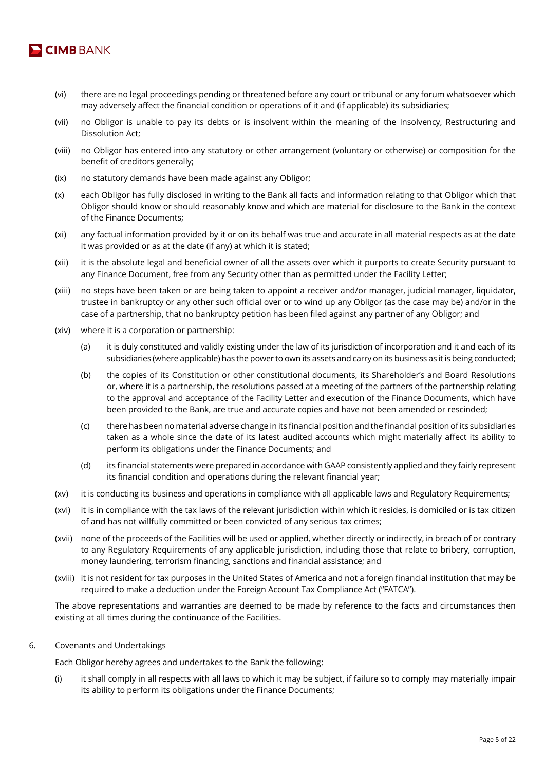

- (vi) there are no legal proceedings pending or threatened before any court or tribunal or any forum whatsoever which may adversely affect the financial condition or operations of it and (if applicable) its subsidiaries;
- (vii) no Obligor is unable to pay its debts or is insolvent within the meaning of the Insolvency, Restructuring and Dissolution Act;
- (viii) no Obligor has entered into any statutory or other arrangement (voluntary or otherwise) or composition for the benefit of creditors generally;
- (ix) no statutory demands have been made against any Obligor;
- (x) each Obligor has fully disclosed in writing to the Bank all facts and information relating to that Obligor which that Obligor should know or should reasonably know and which are material for disclosure to the Bank in the context of the Finance Documents;
- (xi) any factual information provided by it or on its behalf was true and accurate in all material respects as at the date it was provided or as at the date (if any) at which it is stated;
- (xii) it is the absolute legal and beneficial owner of all the assets over which it purports to create Security pursuant to any Finance Document, free from any Security other than as permitted under the Facility Letter;
- (xiii) no steps have been taken or are being taken to appoint a receiver and/or manager, judicial manager, liquidator, trustee in bankruptcy or any other such official over or to wind up any Obligor (as the case may be) and/or in the case of a partnership, that no bankruptcy petition has been filed against any partner of any Obligor; and
- (xiv) where it is a corporation or partnership:
	- (a) it is duly constituted and validly existing under the law of its jurisdiction of incorporation and it and each of its subsidiaries (where applicable) has the power to own its assets and carry on its business as it is being conducted;
	- (b) the copies of its Constitution or other constitutional documents, its Shareholder's and Board Resolutions or, where it is a partnership, the resolutions passed at a meeting of the partners of the partnership relating to the approval and acceptance of the Facility Letter and execution of the Finance Documents, which have been provided to the Bank, are true and accurate copies and have not been amended or rescinded;
	- (c) there has been no material adverse change in its financial position and the financial position of its subsidiaries taken as a whole since the date of its latest audited accounts which might materially affect its ability to perform its obligations under the Finance Documents; and
	- (d) its financial statements were prepared in accordance with GAAP consistently applied and they fairly represent its financial condition and operations during the relevant financial year;
- (xv) it is conducting its business and operations in compliance with all applicable laws and Regulatory Requirements;
- (xvi) it is in compliance with the tax laws of the relevant jurisdiction within which it resides, is domiciled or is tax citizen of and has not willfully committed or been convicted of any serious tax crimes;
- (xvii) none of the proceeds of the Facilities will be used or applied, whether directly or indirectly, in breach of or contrary to any Regulatory Requirements of any applicable jurisdiction, including those that relate to bribery, corruption, money laundering, terrorism financing, sanctions and financial assistance; and
- (xviii) it is not resident for tax purposes in the United States of America and not a foreign financial institution that may be required to make a deduction under the Foreign Account Tax Compliance Act ("FATCA").

The above representations and warranties are deemed to be made by reference to the facts and circumstances then existing at all times during the continuance of the Facilities.

6. Covenants and Undertakings

Each Obligor hereby agrees and undertakes to the Bank the following:

(i) it shall comply in all respects with all laws to which it may be subject, if failure so to comply may materially impair its ability to perform its obligations under the Finance Documents;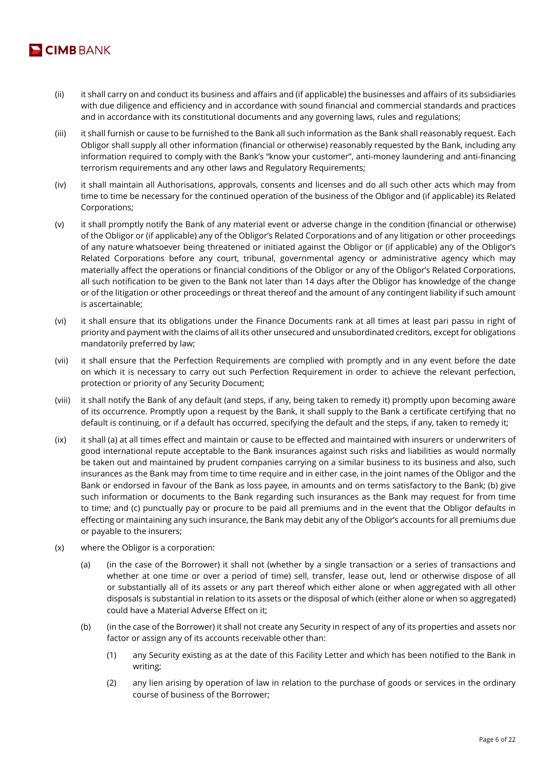

- (ii) it shall carry on and conduct its business and affairs and (if applicable) the businesses and affairs of its subsidiaries with due diligence and efficiency and in accordance with sound financial and commercial standards and practices and in accordance with its constitutional documents and any governing laws, rules and regulations;
- (iii) it shall furnish or cause to be furnished to the Bank all such information as the Bank shall reasonably request. Each Obligor shall supply all other information (financial or otherwise) reasonably requested by the Bank, including any information required to comply with the Bank's "know your customer", anti-money laundering and anti-financing terrorism requirements and any other laws and Regulatory Requirements;
- (iv) it shall maintain all Authorisations, approvals, consents and licenses and do all such other acts which may from time to time be necessary for the continued operation of the business of the Obligor and (if applicable) its Related Corporations;
- (v) it shall promptly notify the Bank of any material event or adverse change in the condition (financial or otherwise) of the Obligor or (if applicable) any of the Obligor's Related Corporations and of any litigation or other proceedings of any nature whatsoever being threatened or initiated against the Obligor or (if applicable) any of the Obligor's Related Corporations before any court, tribunal, governmental agency or administrative agency which may materially affect the operations or financial conditions of the Obligor or any of the Obligor's Related Corporations, all such notification to be given to the Bank not later than 14 days after the Obligor has knowledge of the change or of the litigation or other proceedings or threat thereof and the amount of any contingent liability if such amount is ascertainable;
- (vi) it shall ensure that its obligations under the Finance Documents rank at all times at least pari passu in right of priority and payment with the claims of all its other unsecured and unsubordinated creditors, except for obligations mandatorily preferred by law;
- (vii) it shall ensure that the Perfection Requirements are complied with promptly and in any event before the date on which it is necessary to carry out such Perfection Requirement in order to achieve the relevant perfection, protection or priority of any Security Document;
- (viii) it shall notify the Bank of any default (and steps, if any, being taken to remedy it) promptly upon becoming aware of its occurrence. Promptly upon a request by the Bank, it shall supply to the Bank a certificate certifying that no default is continuing, or if a default has occurred, specifying the default and the steps, if any, taken to remedy it;
- (ix) it shall (a) at all times effect and maintain or cause to be effected and maintained with insurers or underwriters of good international repute acceptable to the Bank insurances against such risks and liabilities as would normally be taken out and maintained by prudent companies carrying on a similar business to its business and also, such insurances as the Bank may from time to time require and in either case, in the joint names of the Obligor and the Bank or endorsed in favour of the Bank as loss payee, in amounts and on terms satisfactory to the Bank; (b) give such information or documents to the Bank regarding such insurances as the Bank may request for from time to time; and (c) punctually pay or procure to be paid all premiums and in the event that the Obligor defaults in effecting or maintaining any such insurance, the Bank may debit any of the Obligor's accounts for all premiums due or payable to the insurers;
- (x) where the Obligor is a corporation:
	- (a) (in the case of the Borrower) it shall not (whether by a single transaction or a series of transactions and whether at one time or over a period of time) sell, transfer, lease out, lend or otherwise dispose of all or substantially all of its assets or any part thereof which either alone or when aggregated with all other disposals is substantial in relation to its assets or the disposal of which (either alone or when so aggregated) could have a Material Adverse Effect on it;
	- (b) (in the case of the Borrower) it shall not create any Security in respect of any of its properties and assets nor factor or assign any of its accounts receivable other than:
		- (1) any Security existing as at the date of this Facility Letter and which has been notified to the Bank in writing;
		- (2) any lien arising by operation of law in relation to the purchase of goods or services in the ordinary course of business of the Borrower;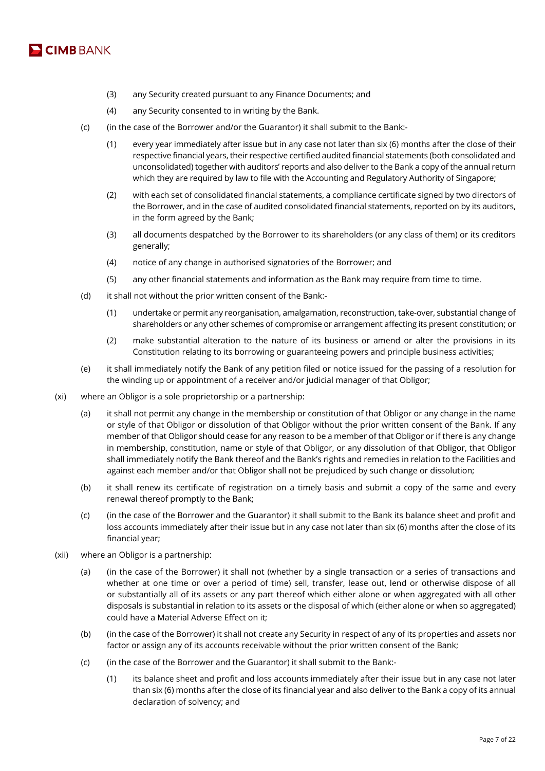

- (3) any Security created pursuant to any Finance Documents; and
- (4) any Security consented to in writing by the Bank.
- (c) (in the case of the Borrower and/or the Guarantor) it shall submit to the Bank:-
	- (1) every year immediately after issue but in any case not later than six (6) months after the close of their respective financial years, their respective certified audited financial statements (both consolidated and unconsolidated) together with auditors' reports and also deliver to the Bank a copy of the annual return which they are required by law to file with the Accounting and Regulatory Authority of Singapore;
	- (2) with each set of consolidated financial statements, a compliance certificate signed by two directors of the Borrower, and in the case of audited consolidated financial statements, reported on by its auditors, in the form agreed by the Bank;
	- (3) all documents despatched by the Borrower to its shareholders (or any class of them) or its creditors generally;
	- (4) notice of any change in authorised signatories of the Borrower; and
	- (5) any other financial statements and information as the Bank may require from time to time.
- (d) it shall not without the prior written consent of the Bank:-
	- (1) undertake or permit any reorganisation, amalgamation, reconstruction, take-over, substantial change of shareholders or any other schemes of compromise or arrangement affecting its present constitution; or
	- (2) make substantial alteration to the nature of its business or amend or alter the provisions in its Constitution relating to its borrowing or guaranteeing powers and principle business activities;
- (e) it shall immediately notify the Bank of any petition filed or notice issued for the passing of a resolution for the winding up or appointment of a receiver and/or judicial manager of that Obligor;
- (xi) where an Obligor is a sole proprietorship or a partnership:
	- (a) it shall not permit any change in the membership or constitution of that Obligor or any change in the name or style of that Obligor or dissolution of that Obligor without the prior written consent of the Bank. If any member of that Obligor should cease for any reason to be a member of that Obligor or if there is any change in membership, constitution, name or style of that Obligor, or any dissolution of that Obligor, that Obligor shall immediately notify the Bank thereof and the Bank's rights and remedies in relation to the Facilities and against each member and/or that Obligor shall not be prejudiced by such change or dissolution;
	- (b) it shall renew its certificate of registration on a timely basis and submit a copy of the same and every renewal thereof promptly to the Bank;
	- (c) (in the case of the Borrower and the Guarantor) it shall submit to the Bank its balance sheet and profit and loss accounts immediately after their issue but in any case not later than six (6) months after the close of its financial year;
- (xii) where an Obligor is a partnership:
	- (a) (in the case of the Borrower) it shall not (whether by a single transaction or a series of transactions and whether at one time or over a period of time) sell, transfer, lease out, lend or otherwise dispose of all or substantially all of its assets or any part thereof which either alone or when aggregated with all other disposals is substantial in relation to its assets or the disposal of which (either alone or when so aggregated) could have a Material Adverse Effect on it;
	- (b) (in the case of the Borrower) it shall not create any Security in respect of any of its properties and assets nor factor or assign any of its accounts receivable without the prior written consent of the Bank;
	- (c) (in the case of the Borrower and the Guarantor) it shall submit to the Bank:-
		- (1) its balance sheet and profit and loss accounts immediately after their issue but in any case not later than six (6) months after the close of its financial year and also deliver to the Bank a copy of its annual declaration of solvency; and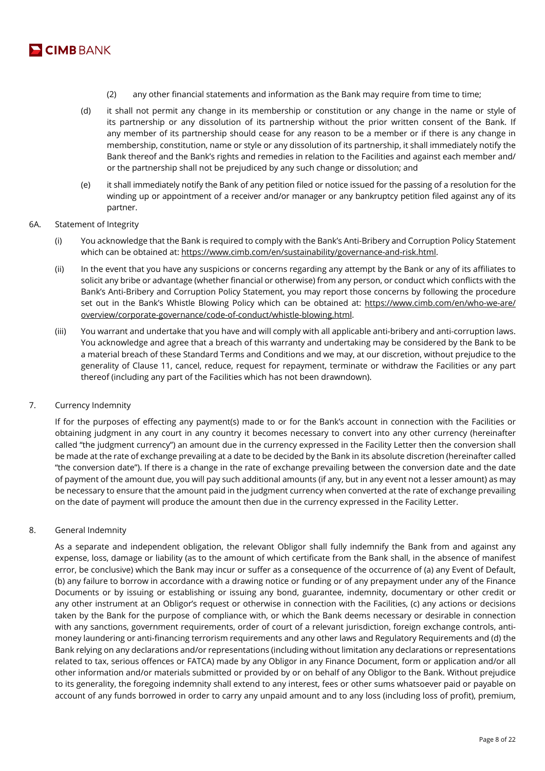

- (2) any other financial statements and information as the Bank may require from time to time;
- (d) it shall not permit any change in its membership or constitution or any change in the name or style of its partnership or any dissolution of its partnership without the prior written consent of the Bank. If any member of its partnership should cease for any reason to be a member or if there is any change in membership, constitution, name or style or any dissolution of its partnership, it shall immediately notify the Bank thereof and the Bank's rights and remedies in relation to the Facilities and against each member and/ or the partnership shall not be prejudiced by any such change or dissolution; and
- (e) it shall immediately notify the Bank of any petition filed or notice issued for the passing of a resolution for the winding up or appointment of a receiver and/or manager or any bankruptcy petition filed against any of its partner.
- 6A. Statement of Integrity
	- (i) You acknowledge that the Bank is required to comply with the Bank's Anti-Bribery and Corruption Policy Statement which can be obtained at: https://www.cimb.com/en/sustainability/governance-and-risk.html.
	- (ii) In the event that you have any suspicions or concerns regarding any attempt by the Bank or any of its affiliates to solicit any bribe or advantage (whether financial or otherwise) from any person, or conduct which conflicts with the Bank's Anti-Bribery and Corruption Policy Statement, you may report those concerns by following the procedure set out in the Bank's Whistle Blowing Policy which can be obtained at: https://www.cimb.com/en/who-we-are/ overview/corporate-governance/code-of-conduct/whistle-blowing.html.
	- (iii) You warrant and undertake that you have and will comply with all applicable anti-bribery and anti-corruption laws. You acknowledge and agree that a breach of this warranty and undertaking may be considered by the Bank to be a material breach of these Standard Terms and Conditions and we may, at our discretion, without prejudice to the generality of Clause 11, cancel, reduce, request for repayment, terminate or withdraw the Facilities or any part thereof (including any part of the Facilities which has not been drawndown).

# 7. Currency Indemnity

If for the purposes of effecting any payment(s) made to or for the Bank's account in connection with the Facilities or obtaining judgment in any court in any country it becomes necessary to convert into any other currency (hereinafter called "the judgment currency") an amount due in the currency expressed in the Facility Letter then the conversion shall be made at the rate of exchange prevailing at a date to be decided by the Bank in its absolute discretion (hereinafter called "the conversion date"). If there is a change in the rate of exchange prevailing between the conversion date and the date of payment of the amount due, you will pay such additional amounts (if any, but in any event not a lesser amount) as may be necessary to ensure that the amount paid in the judgment currency when converted at the rate of exchange prevailing on the date of payment will produce the amount then due in the currency expressed in the Facility Letter.

# 8. General Indemnity

As a separate and independent obligation, the relevant Obligor shall fully indemnify the Bank from and against any expense, loss, damage or liability (as to the amount of which certificate from the Bank shall, in the absence of manifest error, be conclusive) which the Bank may incur or suffer as a consequence of the occurrence of (a) any Event of Default, (b) any failure to borrow in accordance with a drawing notice or funding or of any prepayment under any of the Finance Documents or by issuing or establishing or issuing any bond, guarantee, indemnity, documentary or other credit or any other instrument at an Obligor's request or otherwise in connection with the Facilities, (c) any actions or decisions taken by the Bank for the purpose of compliance with, or which the Bank deems necessary or desirable in connection with any sanctions, government requirements, order of court of a relevant jurisdiction, foreign exchange controls, antimoney laundering or anti-financing terrorism requirements and any other laws and Regulatory Requirements and (d) the Bank relying on any declarations and/or representations (including without limitation any declarations or representations related to tax, serious offences or FATCA) made by any Obligor in any Finance Document, form or application and/or all other information and/or materials submitted or provided by or on behalf of any Obligor to the Bank. Without prejudice to its generality, the foregoing indemnity shall extend to any interest, fees or other sums whatsoever paid or payable on account of any funds borrowed in order to carry any unpaid amount and to any loss (including loss of profit), premium,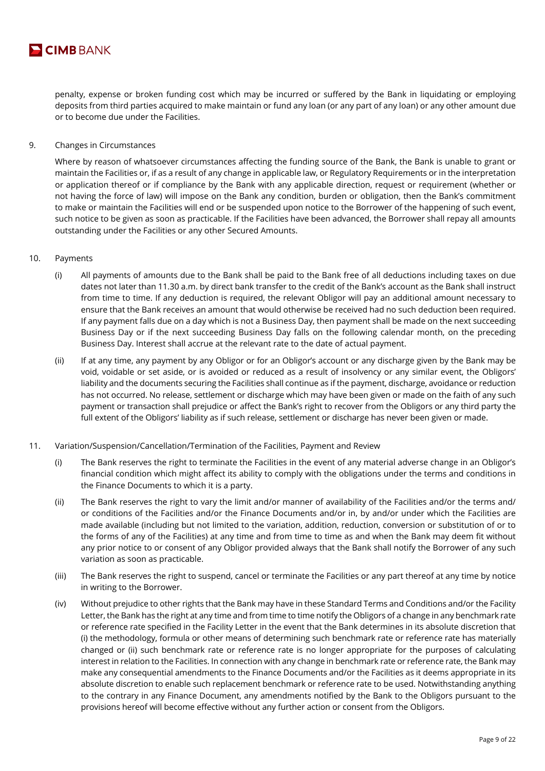

penalty, expense or broken funding cost which may be incurred or suffered by the Bank in liquidating or employing deposits from third parties acquired to make maintain or fund any loan (or any part of any loan) or any other amount due or to become due under the Facilities.

9. Changes in Circumstances

Where by reason of whatsoever circumstances affecting the funding source of the Bank, the Bank is unable to grant or maintain the Facilities or, if as a result of any change in applicable law, or Regulatory Requirements or in the interpretation or application thereof or if compliance by the Bank with any applicable direction, request or requirement (whether or not having the force of law) will impose on the Bank any condition, burden or obligation, then the Bank's commitment to make or maintain the Facilities will end or be suspended upon notice to the Borrower of the happening of such event, such notice to be given as soon as practicable. If the Facilities have been advanced, the Borrower shall repay all amounts outstanding under the Facilities or any other Secured Amounts.

- 10. Payments
	- (i) All payments of amounts due to the Bank shall be paid to the Bank free of all deductions including taxes on due dates not later than 11.30 a.m. by direct bank transfer to the credit of the Bank's account as the Bank shall instruct from time to time. If any deduction is required, the relevant Obligor will pay an additional amount necessary to ensure that the Bank receives an amount that would otherwise be received had no such deduction been required. If any payment falls due on a day which is not a Business Day, then payment shall be made on the next succeeding Business Day or if the next succeeding Business Day falls on the following calendar month, on the preceding Business Day. Interest shall accrue at the relevant rate to the date of actual payment.
	- (ii) If at any time, any payment by any Obligor or for an Obligor's account or any discharge given by the Bank may be void, voidable or set aside, or is avoided or reduced as a result of insolvency or any similar event, the Obligors' liability and the documents securing the Facilities shall continue as if the payment, discharge, avoidance or reduction has not occurred. No release, settlement or discharge which may have been given or made on the faith of any such payment or transaction shall prejudice or affect the Bank's right to recover from the Obligors or any third party the full extent of the Obligors' liability as if such release, settlement or discharge has never been given or made.
- 11. Variation/Suspension/Cancellation/Termination of the Facilities, Payment and Review
	- (i) The Bank reserves the right to terminate the Facilities in the event of any material adverse change in an Obligor's financial condition which might affect its ability to comply with the obligations under the terms and conditions in the Finance Documents to which it is a party.
	- (ii) The Bank reserves the right to vary the limit and/or manner of availability of the Facilities and/or the terms and/ or conditions of the Facilities and/or the Finance Documents and/or in, by and/or under which the Facilities are made available (including but not limited to the variation, addition, reduction, conversion or substitution of or to the forms of any of the Facilities) at any time and from time to time as and when the Bank may deem fit without any prior notice to or consent of any Obligor provided always that the Bank shall notify the Borrower of any such variation as soon as practicable.
	- (iii) The Bank reserves the right to suspend, cancel or terminate the Facilities or any part thereof at any time by notice in writing to the Borrower.
	- (iv) Without prejudice to other rights that the Bank may have in these Standard Terms and Conditions and/or the Facility Letter, the Bank has the right at any time and from time to time notify the Obligors of a change in any benchmark rate or reference rate specified in the Facility Letter in the event that the Bank determines in its absolute discretion that (i) the methodology, formula or other means of determining such benchmark rate or reference rate has materially changed or (ii) such benchmark rate or reference rate is no longer appropriate for the purposes of calculating interest in relation to the Facilities. In connection with any change in benchmark rate or reference rate, the Bank may make any consequential amendments to the Finance Documents and/or the Facilities as it deems appropriate in its absolute discretion to enable such replacement benchmark or reference rate to be used. Notwithstanding anything to the contrary in any Finance Document, any amendments notified by the Bank to the Obligors pursuant to the provisions hereof will become effective without any further action or consent from the Obligors.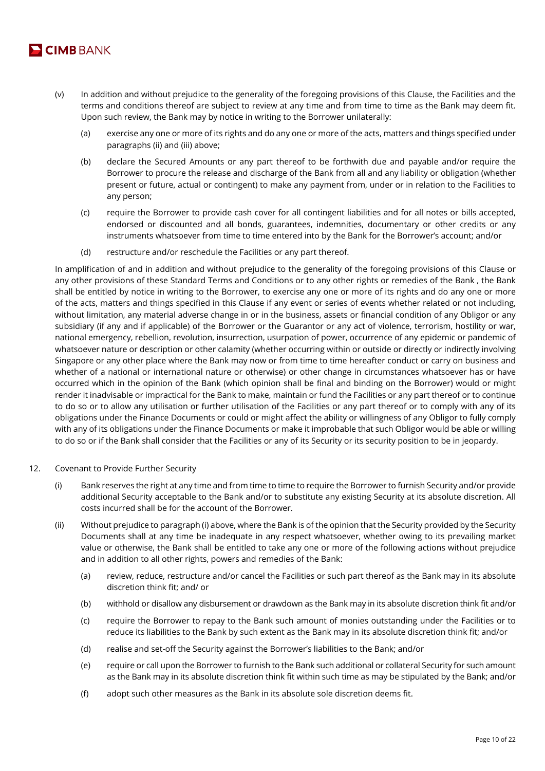

- (v) In addition and without prejudice to the generality of the foregoing provisions of this Clause, the Facilities and the terms and conditions thereof are subject to review at any time and from time to time as the Bank may deem fit. Upon such review, the Bank may by notice in writing to the Borrower unilaterally:
	- (a) exercise any one or more of its rights and do any one or more of the acts, matters and things specified under paragraphs (ii) and (iii) above;
	- (b) declare the Secured Amounts or any part thereof to be forthwith due and payable and/or require the Borrower to procure the release and discharge of the Bank from all and any liability or obligation (whether present or future, actual or contingent) to make any payment from, under or in relation to the Facilities to any person;
	- (c) require the Borrower to provide cash cover for all contingent liabilities and for all notes or bills accepted, endorsed or discounted and all bonds, guarantees, indemnities, documentary or other credits or any instruments whatsoever from time to time entered into by the Bank for the Borrower's account; and/or
	- (d) restructure and/or reschedule the Facilities or any part thereof.

In amplification of and in addition and without prejudice to the generality of the foregoing provisions of this Clause or any other provisions of these Standard Terms and Conditions or to any other rights or remedies of the Bank , the Bank shall be entitled by notice in writing to the Borrower, to exercise any one or more of its rights and do any one or more of the acts, matters and things specified in this Clause if any event or series of events whether related or not including, without limitation, any material adverse change in or in the business, assets or financial condition of any Obligor or any subsidiary (if any and if applicable) of the Borrower or the Guarantor or any act of violence, terrorism, hostility or war, national emergency, rebellion, revolution, insurrection, usurpation of power, occurrence of any epidemic or pandemic of whatsoever nature or description or other calamity (whether occurring within or outside or directly or indirectly involving Singapore or any other place where the Bank may now or from time to time hereafter conduct or carry on business and whether of a national or international nature or otherwise) or other change in circumstances whatsoever has or have occurred which in the opinion of the Bank (which opinion shall be final and binding on the Borrower) would or might render it inadvisable or impractical for the Bank to make, maintain or fund the Facilities or any part thereof or to continue to do so or to allow any utilisation or further utilisation of the Facilities or any part thereof or to comply with any of its obligations under the Finance Documents or could or might affect the ability or willingness of any Obligor to fully comply with any of its obligations under the Finance Documents or make it improbable that such Obligor would be able or willing to do so or if the Bank shall consider that the Facilities or any of its Security or its security position to be in jeopardy.

- 12. Covenant to Provide Further Security
	- (i) Bank reserves the right at any time and from time to time to require the Borrower to furnish Security and/or provide additional Security acceptable to the Bank and/or to substitute any existing Security at its absolute discretion. All costs incurred shall be for the account of the Borrower.
	- (ii) Without prejudice to paragraph (i) above, where the Bank is of the opinion that the Security provided by the Security Documents shall at any time be inadequate in any respect whatsoever, whether owing to its prevailing market value or otherwise, the Bank shall be entitled to take any one or more of the following actions without prejudice and in addition to all other rights, powers and remedies of the Bank:
		- (a) review, reduce, restructure and/or cancel the Facilities or such part thereof as the Bank may in its absolute discretion think fit; and/ or
		- (b) withhold or disallow any disbursement or drawdown as the Bank may in its absolute discretion think fit and/or
		- (c) require the Borrower to repay to the Bank such amount of monies outstanding under the Facilities or to reduce its liabilities to the Bank by such extent as the Bank may in its absolute discretion think fit; and/or
		- (d) realise and set-off the Security against the Borrower's liabilities to the Bank; and/or
		- (e) require or call upon the Borrower to furnish to the Bank such additional or collateral Security for such amount as the Bank may in its absolute discretion think fit within such time as may be stipulated by the Bank; and/or
		- (f) adopt such other measures as the Bank in its absolute sole discretion deems fit.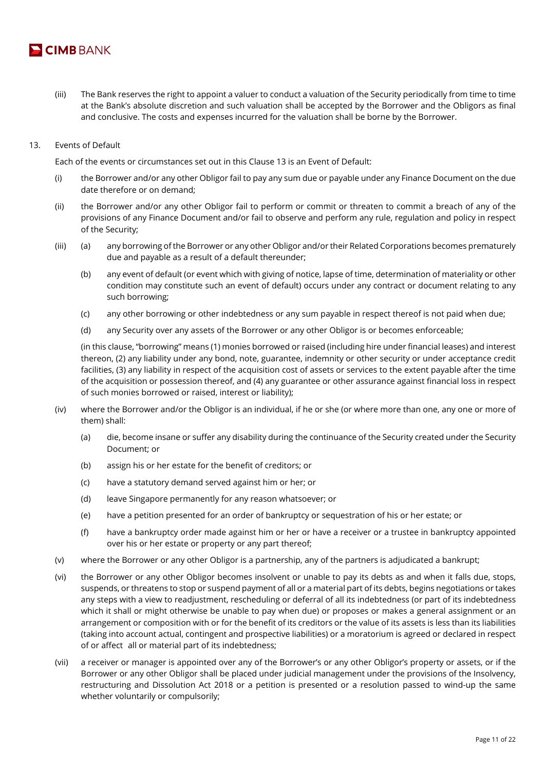

- (iii) The Bank reserves the right to appoint a valuer to conduct a valuation of the Security periodically from time to time at the Bank's absolute discretion and such valuation shall be accepted by the Borrower and the Obligors as final and conclusive. The costs and expenses incurred for the valuation shall be borne by the Borrower.
- 13. Events of Default

Each of the events or circumstances set out in this Clause 13 is an Event of Default:

- (i) the Borrower and/or any other Obligor fail to pay any sum due or payable under any Finance Document on the due date therefore or on demand;
- (ii) the Borrower and/or any other Obligor fail to perform or commit or threaten to commit a breach of any of the provisions of any Finance Document and/or fail to observe and perform any rule, regulation and policy in respect of the Security;
- (iii) (a) any borrowing of the Borrower or any other Obligor and/or their Related Corporations becomes prematurely due and payable as a result of a default thereunder;
	- (b) any event of default (or event which with giving of notice, lapse of time, determination of materiality or other condition may constitute such an event of default) occurs under any contract or document relating to any such borrowing;
	- (c) any other borrowing or other indebtedness or any sum payable in respect thereof is not paid when due;
	- (d) any Security over any assets of the Borrower or any other Obligor is or becomes enforceable;

(in this clause, "borrowing" means (1) monies borrowed or raised (including hire under financial leases) and interest thereon, (2) any liability under any bond, note, guarantee, indemnity or other security or under acceptance credit facilities, (3) any liability in respect of the acquisition cost of assets or services to the extent payable after the time of the acquisition or possession thereof, and (4) any guarantee or other assurance against financial loss in respect of such monies borrowed or raised, interest or liability);

- (iv) where the Borrower and/or the Obligor is an individual, if he or she (or where more than one, any one or more of them) shall:
	- (a) die, become insane or suffer any disability during the continuance of the Security created under the Security Document; or
	- (b) assign his or her estate for the benefit of creditors; or
	- (c) have a statutory demand served against him or her; or
	- (d) leave Singapore permanently for any reason whatsoever; or
	- (e) have a petition presented for an order of bankruptcy or sequestration of his or her estate; or
	- (f) have a bankruptcy order made against him or her or have a receiver or a trustee in bankruptcy appointed over his or her estate or property or any part thereof;
- (v) where the Borrower or any other Obligor is a partnership, any of the partners is adjudicated a bankrupt;
- (vi) the Borrower or any other Obligor becomes insolvent or unable to pay its debts as and when it falls due, stops, suspends, or threatens to stop or suspend payment of all or a material part of its debts, begins negotiations or takes any steps with a view to readjustment, rescheduling or deferral of all its indebtedness (or part of its indebtedness which it shall or might otherwise be unable to pay when due) or proposes or makes a general assignment or an arrangement or composition with or for the benefit of its creditors or the value of its assets is less than its liabilities (taking into account actual, contingent and prospective liabilities) or a moratorium is agreed or declared in respect of or affect all or material part of its indebtedness;
- (vii) a receiver or manager is appointed over any of the Borrower's or any other Obligor's property or assets, or if the Borrower or any other Obligor shall be placed under judicial management under the provisions of the Insolvency, restructuring and Dissolution Act 2018 or a petition is presented or a resolution passed to wind-up the same whether voluntarily or compulsorily;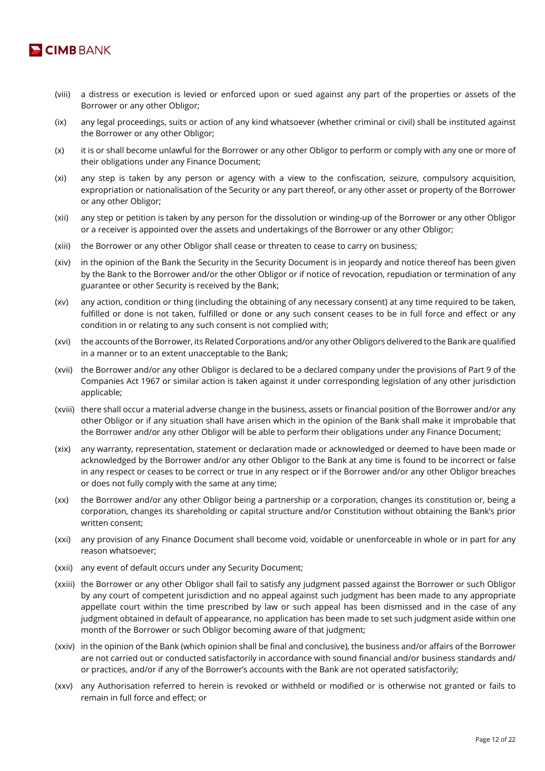

- (viii) a distress or execution is levied or enforced upon or sued against any part of the properties or assets of the Borrower or any other Obligor;
- (ix) any legal proceedings, suits or action of any kind whatsoever (whether criminal or civil) shall be instituted against the Borrower or any other Obligor;
- (x) it is or shall become unlawful for the Borrower or any other Obligor to perform or comply with any one or more of their obligations under any Finance Document;
- (xi) any step is taken by any person or agency with a view to the confiscation, seizure, compulsory acquisition, expropriation or nationalisation of the Security or any part thereof, or any other asset or property of the Borrower or any other Obligor;
- (xii) any step or petition is taken by any person for the dissolution or winding-up of the Borrower or any other Obligor or a receiver is appointed over the assets and undertakings of the Borrower or any other Obligor;
- (xiii) the Borrower or any other Obligor shall cease or threaten to cease to carry on business;
- (xiv) in the opinion of the Bank the Security in the Security Document is in jeopardy and notice thereof has been given by the Bank to the Borrower and/or the other Obligor or if notice of revocation, repudiation or termination of any guarantee or other Security is received by the Bank;
- (xv) any action, condition or thing (including the obtaining of any necessary consent) at any time required to be taken, fulfilled or done is not taken, fulfilled or done or any such consent ceases to be in full force and effect or any condition in or relating to any such consent is not complied with;
- (xvi) the accounts of the Borrower, its Related Corporations and/or any other Obligors delivered to the Bank are qualified in a manner or to an extent unacceptable to the Bank;
- (xvii) the Borrower and/or any other Obligor is declared to be a declared company under the provisions of Part 9 of the Companies Act 1967 or similar action is taken against it under corresponding legislation of any other jurisdiction applicable;
- (xviii) there shall occur a material adverse change in the business, assets or financial position of the Borrower and/or any other Obligor or if any situation shall have arisen which in the opinion of the Bank shall make it improbable that the Borrower and/or any other Obligor will be able to perform their obligations under any Finance Document;
- (xix) any warranty, representation, statement or declaration made or acknowledged or deemed to have been made or acknowledged by the Borrower and/or any other Obligor to the Bank at any time is found to be incorrect or false in any respect or ceases to be correct or true in any respect or if the Borrower and/or any other Obligor breaches or does not fully comply with the same at any time;
- (xx) the Borrower and/or any other Obligor being a partnership or a corporation, changes its constitution or, being a corporation, changes its shareholding or capital structure and/or Constitution without obtaining the Bank's prior written consent;
- (xxi) any provision of any Finance Document shall become void, voidable or unenforceable in whole or in part for any reason whatsoever;
- (xxii) any event of default occurs under any Security Document;
- (xxiii) the Borrower or any other Obligor shall fail to satisfy any judgment passed against the Borrower or such Obligor by any court of competent jurisdiction and no appeal against such judgment has been made to any appropriate appellate court within the time prescribed by law or such appeal has been dismissed and in the case of any judgment obtained in default of appearance, no application has been made to set such judgment aside within one month of the Borrower or such Obligor becoming aware of that judgment;
- (xxiv) in the opinion of the Bank (which opinion shall be final and conclusive), the business and/or affairs of the Borrower are not carried out or conducted satisfactorily in accordance with sound financial and/or business standards and/ or practices, and/or if any of the Borrower's accounts with the Bank are not operated satisfactorily;
- (xxv) any Authorisation referred to herein is revoked or withheld or modified or is otherwise not granted or fails to remain in full force and effect; or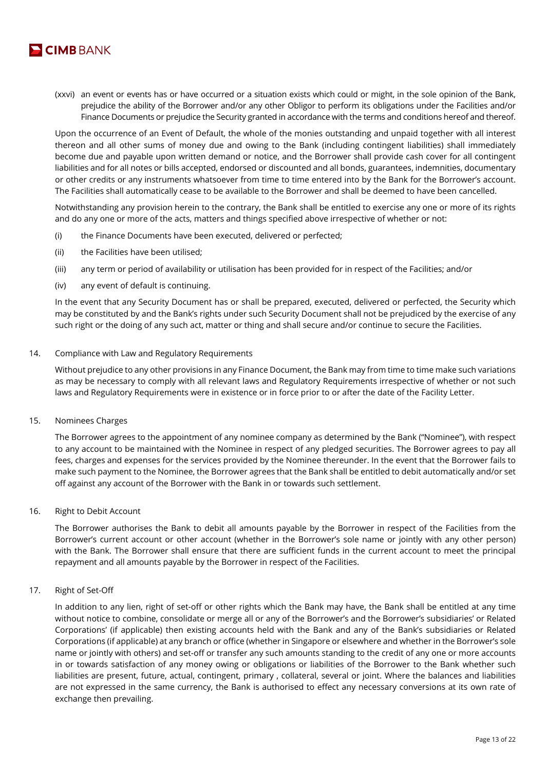

(xxvi) an event or events has or have occurred or a situation exists which could or might, in the sole opinion of the Bank, prejudice the ability of the Borrower and/or any other Obligor to perform its obligations under the Facilities and/or Finance Documents or prejudice the Security granted in accordance with the terms and conditions hereof and thereof.

Upon the occurrence of an Event of Default, the whole of the monies outstanding and unpaid together with all interest thereon and all other sums of money due and owing to the Bank (including contingent liabilities) shall immediately become due and payable upon written demand or notice, and the Borrower shall provide cash cover for all contingent liabilities and for all notes or bills accepted, endorsed or discounted and all bonds, guarantees, indemnities, documentary or other credits or any instruments whatsoever from time to time entered into by the Bank for the Borrower's account. The Facilities shall automatically cease to be available to the Borrower and shall be deemed to have been cancelled.

Notwithstanding any provision herein to the contrary, the Bank shall be entitled to exercise any one or more of its rights and do any one or more of the acts, matters and things specified above irrespective of whether or not:

- (i) the Finance Documents have been executed, delivered or perfected;
- (ii) the Facilities have been utilised;
- (iii) any term or period of availability or utilisation has been provided for in respect of the Facilities; and/or
- (iv) any event of default is continuing.

In the event that any Security Document has or shall be prepared, executed, delivered or perfected, the Security which may be constituted by and the Bank's rights under such Security Document shall not be prejudiced by the exercise of any such right or the doing of any such act, matter or thing and shall secure and/or continue to secure the Facilities.

#### 14. Compliance with Law and Regulatory Requirements

Without prejudice to any other provisions in any Finance Document, the Bank may from time to time make such variations as may be necessary to comply with all relevant laws and Regulatory Requirements irrespective of whether or not such laws and Regulatory Requirements were in existence or in force prior to or after the date of the Facility Letter.

15. Nominees Charges

The Borrower agrees to the appointment of any nominee company as determined by the Bank ("Nominee"), with respect to any account to be maintained with the Nominee in respect of any pledged securities. The Borrower agrees to pay all fees, charges and expenses for the services provided by the Nominee thereunder. In the event that the Borrower fails to make such payment to the Nominee, the Borrower agrees that the Bank shall be entitled to debit automatically and/or set off against any account of the Borrower with the Bank in or towards such settlement.

16. Right to Debit Account

The Borrower authorises the Bank to debit all amounts payable by the Borrower in respect of the Facilities from the Borrower's current account or other account (whether in the Borrower's sole name or jointly with any other person) with the Bank. The Borrower shall ensure that there are sufficient funds in the current account to meet the principal repayment and all amounts payable by the Borrower in respect of the Facilities.

### 17. Right of Set-Off

In addition to any lien, right of set-off or other rights which the Bank may have, the Bank shall be entitled at any time without notice to combine, consolidate or merge all or any of the Borrower's and the Borrower's subsidiaries' or Related Corporations' (if applicable) then existing accounts held with the Bank and any of the Bank's subsidiaries or Related Corporations (if applicable) at any branch or office (whether in Singapore or elsewhere and whether in the Borrower's sole name or jointly with others) and set-off or transfer any such amounts standing to the credit of any one or more accounts in or towards satisfaction of any money owing or obligations or liabilities of the Borrower to the Bank whether such liabilities are present, future, actual, contingent, primary , collateral, several or joint. Where the balances and liabilities are not expressed in the same currency, the Bank is authorised to effect any necessary conversions at its own rate of exchange then prevailing.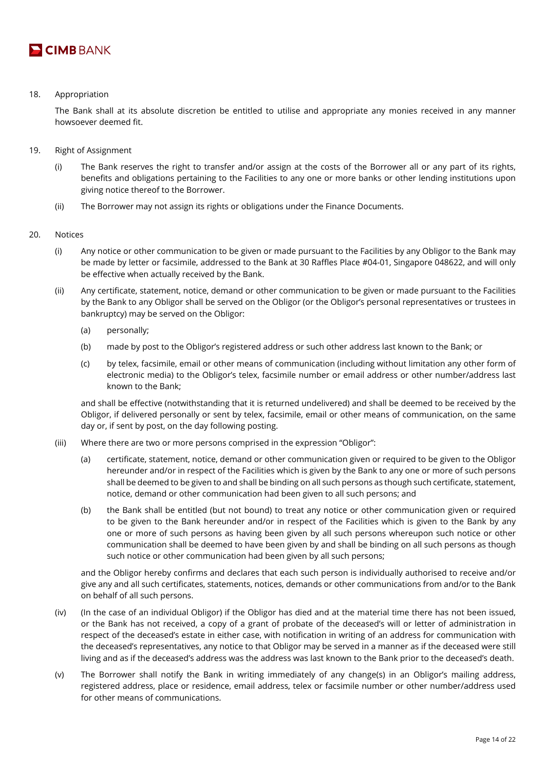

# 18. Appropriation

The Bank shall at its absolute discretion be entitled to utilise and appropriate any monies received in any manner howsoever deemed fit.

- 19. Right of Assignment
	- (i) The Bank reserves the right to transfer and/or assign at the costs of the Borrower all or any part of its rights, benefits and obligations pertaining to the Facilities to any one or more banks or other lending institutions upon giving notice thereof to the Borrower.
	- (ii) The Borrower may not assign its rights or obligations under the Finance Documents.
- 20. Notices
	- (i) Any notice or other communication to be given or made pursuant to the Facilities by any Obligor to the Bank may be made by letter or facsimile, addressed to the Bank at 30 Raffles Place #04-01, Singapore 048622, and will only be effective when actually received by the Bank.
	- (ii) Any certificate, statement, notice, demand or other communication to be given or made pursuant to the Facilities by the Bank to any Obligor shall be served on the Obligor (or the Obligor's personal representatives or trustees in bankruptcy) may be served on the Obligor:
		- (a) personally;
		- (b) made by post to the Obligor's registered address or such other address last known to the Bank; or
		- (c) by telex, facsimile, email or other means of communication (including without limitation any other form of electronic media) to the Obligor's telex, facsimile number or email address or other number/address last known to the Bank;

and shall be effective (notwithstanding that it is returned undelivered) and shall be deemed to be received by the Obligor, if delivered personally or sent by telex, facsimile, email or other means of communication, on the same day or, if sent by post, on the day following posting.

- (iii) Where there are two or more persons comprised in the expression "Obligor":
	- (a) certificate, statement, notice, demand or other communication given or required to be given to the Obligor hereunder and/or in respect of the Facilities which is given by the Bank to any one or more of such persons shall be deemed to be given to and shall be binding on all such persons as though such certificate, statement, notice, demand or other communication had been given to all such persons; and
	- (b) the Bank shall be entitled (but not bound) to treat any notice or other communication given or required to be given to the Bank hereunder and/or in respect of the Facilities which is given to the Bank by any one or more of such persons as having been given by all such persons whereupon such notice or other communication shall be deemed to have been given by and shall be binding on all such persons as though such notice or other communication had been given by all such persons;

and the Obligor hereby confirms and declares that each such person is individually authorised to receive and/or give any and all such certificates, statements, notices, demands or other communications from and/or to the Bank on behalf of all such persons.

- (iv) (In the case of an individual Obligor) if the Obligor has died and at the material time there has not been issued, or the Bank has not received, a copy of a grant of probate of the deceased's will or letter of administration in respect of the deceased's estate in either case, with notification in writing of an address for communication with the deceased's representatives, any notice to that Obligor may be served in a manner as if the deceased were still living and as if the deceased's address was the address was last known to the Bank prior to the deceased's death.
- (v) The Borrower shall notify the Bank in writing immediately of any change(s) in an Obligor's mailing address, registered address, place or residence, email address, telex or facsimile number or other number/address used for other means of communications.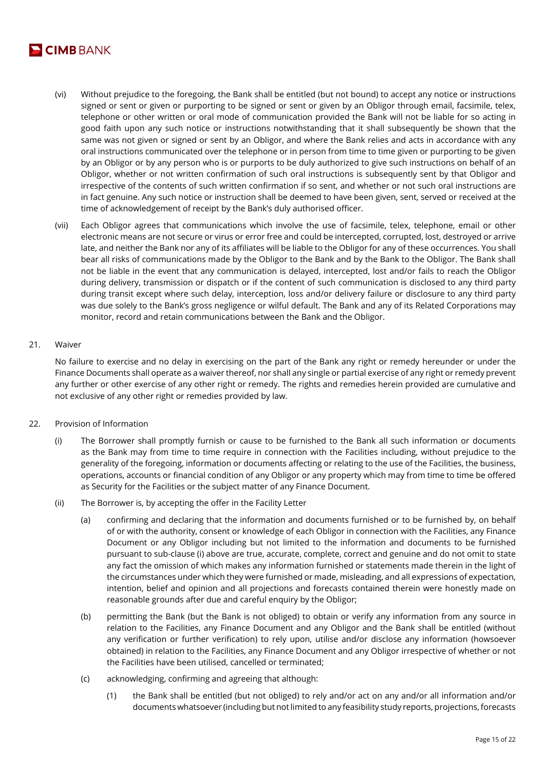

- (vi) Without prejudice to the foregoing, the Bank shall be entitled (but not bound) to accept any notice or instructions signed or sent or given or purporting to be signed or sent or given by an Obligor through email, facsimile, telex, telephone or other written or oral mode of communication provided the Bank will not be liable for so acting in good faith upon any such notice or instructions notwithstanding that it shall subsequently be shown that the same was not given or signed or sent by an Obligor, and where the Bank relies and acts in accordance with any oral instructions communicated over the telephone or in person from time to time given or purporting to be given by an Obligor or by any person who is or purports to be duly authorized to give such instructions on behalf of an Obligor, whether or not written confirmation of such oral instructions is subsequently sent by that Obligor and irrespective of the contents of such written confirmation if so sent, and whether or not such oral instructions are in fact genuine. Any such notice or instruction shall be deemed to have been given, sent, served or received at the time of acknowledgement of receipt by the Bank's duly authorised officer.
- (vii) Each Obligor agrees that communications which involve the use of facsimile, telex, telephone, email or other electronic means are not secure or virus or error free and could be intercepted, corrupted, lost, destroyed or arrive late, and neither the Bank nor any of its affiliates will be liable to the Obligor for any of these occurrences. You shall bear all risks of communications made by the Obligor to the Bank and by the Bank to the Obligor. The Bank shall not be liable in the event that any communication is delayed, intercepted, lost and/or fails to reach the Obligor during delivery, transmission or dispatch or if the content of such communication is disclosed to any third party during transit except where such delay, interception, loss and/or delivery failure or disclosure to any third party was due solely to the Bank's gross negligence or wilful default. The Bank and any of its Related Corporations may monitor, record and retain communications between the Bank and the Obligor.

# 21. Waiver

No failure to exercise and no delay in exercising on the part of the Bank any right or remedy hereunder or under the Finance Documents shall operate as a waiver thereof, nor shall any single or partial exercise of any right or remedy prevent any further or other exercise of any other right or remedy. The rights and remedies herein provided are cumulative and not exclusive of any other right or remedies provided by law.

- 22. Provision of Information
	- (i) The Borrower shall promptly furnish or cause to be furnished to the Bank all such information or documents as the Bank may from time to time require in connection with the Facilities including, without prejudice to the generality of the foregoing, information or documents affecting or relating to the use of the Facilities, the business, operations, accounts or financial condition of any Obligor or any property which may from time to time be offered as Security for the Facilities or the subject matter of any Finance Document.
	- (ii) The Borrower is, by accepting the offer in the Facility Letter
		- (a) confirming and declaring that the information and documents furnished or to be furnished by, on behalf of or with the authority, consent or knowledge of each Obligor in connection with the Facilities, any Finance Document or any Obligor including but not limited to the information and documents to be furnished pursuant to sub-clause (i) above are true, accurate, complete, correct and genuine and do not omit to state any fact the omission of which makes any information furnished or statements made therein in the light of the circumstances under which they were furnished or made, misleading, and all expressions of expectation, intention, belief and opinion and all projections and forecasts contained therein were honestly made on reasonable grounds after due and careful enquiry by the Obligor;
		- (b) permitting the Bank (but the Bank is not obliged) to obtain or verify any information from any source in relation to the Facilities, any Finance Document and any Obligor and the Bank shall be entitled (without any verification or further verification) to rely upon, utilise and/or disclose any information (howsoever obtained) in relation to the Facilities, any Finance Document and any Obligor irrespective of whether or not the Facilities have been utilised, cancelled or terminated;
		- (c) acknowledging, confirming and agreeing that although:
			- (1) the Bank shall be entitled (but not obliged) to rely and/or act on any and/or all information and/or documents whatsoever (including but not limited to any feasibility study reports, projections, forecasts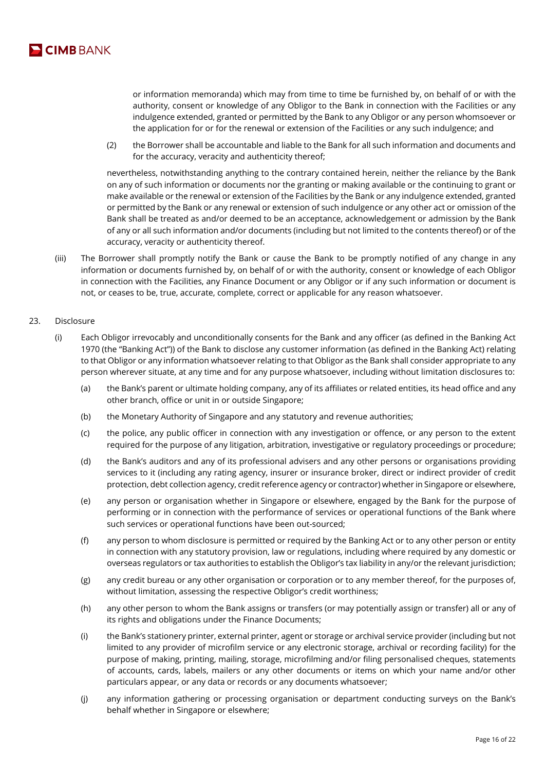

or information memoranda) which may from time to time be furnished by, on behalf of or with the authority, consent or knowledge of any Obligor to the Bank in connection with the Facilities or any indulgence extended, granted or permitted by the Bank to any Obligor or any person whomsoever or the application for or for the renewal or extension of the Facilities or any such indulgence; and

(2) the Borrower shall be accountable and liable to the Bank for all such information and documents and for the accuracy, veracity and authenticity thereof;

nevertheless, notwithstanding anything to the contrary contained herein, neither the reliance by the Bank on any of such information or documents nor the granting or making available or the continuing to grant or make available or the renewal or extension of the Facilities by the Bank or any indulgence extended, granted or permitted by the Bank or any renewal or extension of such indulgence or any other act or omission of the Bank shall be treated as and/or deemed to be an acceptance, acknowledgement or admission by the Bank of any or all such information and/or documents (including but not limited to the contents thereof) or of the accuracy, veracity or authenticity thereof.

(iii) The Borrower shall promptly notify the Bank or cause the Bank to be promptly notified of any change in any information or documents furnished by, on behalf of or with the authority, consent or knowledge of each Obligor in connection with the Facilities, any Finance Document or any Obligor or if any such information or document is not, or ceases to be, true, accurate, complete, correct or applicable for any reason whatsoever.

# 23. Disclosure

- (i) Each Obligor irrevocably and unconditionally consents for the Bank and any officer (as defined in the Banking Act 1970 (the "Banking Act")) of the Bank to disclose any customer information (as defined in the Banking Act) relating to that Obligor or any information whatsoever relating to that Obligor as the Bank shall consider appropriate to any person wherever situate, at any time and for any purpose whatsoever, including without limitation disclosures to:
	- (a) the Bank's parent or ultimate holding company, any of its affiliates or related entities, its head office and any other branch, office or unit in or outside Singapore;
	- (b) the Monetary Authority of Singapore and any statutory and revenue authorities;
	- (c) the police, any public officer in connection with any investigation or offence, or any person to the extent required for the purpose of any litigation, arbitration, investigative or regulatory proceedings or procedure;
	- (d) the Bank's auditors and any of its professional advisers and any other persons or organisations providing services to it (including any rating agency, insurer or insurance broker, direct or indirect provider of credit protection, debt collection agency, credit reference agency or contractor) whether in Singapore or elsewhere,
	- (e) any person or organisation whether in Singapore or elsewhere, engaged by the Bank for the purpose of performing or in connection with the performance of services or operational functions of the Bank where such services or operational functions have been out-sourced;
	- (f) any person to whom disclosure is permitted or required by the Banking Act or to any other person or entity in connection with any statutory provision, law or regulations, including where required by any domestic or overseas regulators or tax authorities to establish the Obligor's tax liability in any/or the relevant jurisdiction;
	- (g) any credit bureau or any other organisation or corporation or to any member thereof, for the purposes of, without limitation, assessing the respective Obligor's credit worthiness;
	- (h) any other person to whom the Bank assigns or transfers (or may potentially assign or transfer) all or any of its rights and obligations under the Finance Documents;
	- (i) the Bank's stationery printer, external printer, agent or storage or archival service provider (including but not limited to any provider of microfilm service or any electronic storage, archival or recording facility) for the purpose of making, printing, mailing, storage, microfilming and/or filing personalised cheques, statements of accounts, cards, labels, mailers or any other documents or items on which your name and/or other particulars appear, or any data or records or any documents whatsoever;
	- (j) any information gathering or processing organisation or department conducting surveys on the Bank's behalf whether in Singapore or elsewhere;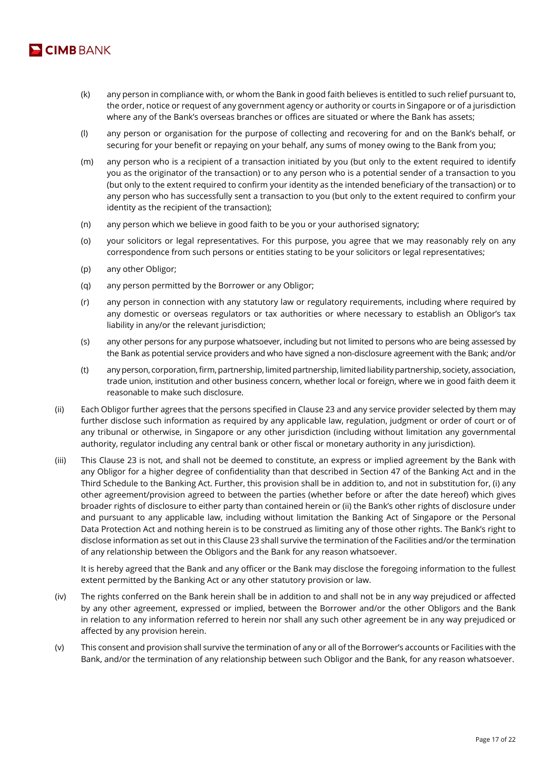

- (k) any person in compliance with, or whom the Bank in good faith believes is entitled to such relief pursuant to, the order, notice or request of any government agency or authority or courts in Singapore or of a jurisdiction where any of the Bank's overseas branches or offices are situated or where the Bank has assets;
- (l) any person or organisation for the purpose of collecting and recovering for and on the Bank's behalf, or securing for your benefit or repaying on your behalf, any sums of money owing to the Bank from you;
- (m) any person who is a recipient of a transaction initiated by you (but only to the extent required to identify you as the originator of the transaction) or to any person who is a potential sender of a transaction to you (but only to the extent required to confirm your identity as the intended beneficiary of the transaction) or to any person who has successfully sent a transaction to you (but only to the extent required to confirm your identity as the recipient of the transaction);
- (n) any person which we believe in good faith to be you or your authorised signatory;
- (o) your solicitors or legal representatives. For this purpose, you agree that we may reasonably rely on any correspondence from such persons or entities stating to be your solicitors or legal representatives;
- (p) any other Obligor;
- (q) any person permitted by the Borrower or any Obligor;
- (r) any person in connection with any statutory law or regulatory requirements, including where required by any domestic or overseas regulators or tax authorities or where necessary to establish an Obligor's tax liability in any/or the relevant jurisdiction;
- (s) any other persons for any purpose whatsoever, including but not limited to persons who are being assessed by the Bank as potential service providers and who have signed a non-disclosure agreement with the Bank; and/or
- (t) any person, corporation, firm, partnership, limited partnership, limited liability partnership, society, association, trade union, institution and other business concern, whether local or foreign, where we in good faith deem it reasonable to make such disclosure.
- (ii) Each Obligor further agrees that the persons specified in Clause 23 and any service provider selected by them may further disclose such information as required by any applicable law, regulation, judgment or order of court or of any tribunal or otherwise, in Singapore or any other jurisdiction (including without limitation any governmental authority, regulator including any central bank or other fiscal or monetary authority in any jurisdiction).
- (iii) This Clause 23 is not, and shall not be deemed to constitute, an express or implied agreement by the Bank with any Obligor for a higher degree of confidentiality than that described in Section 47 of the Banking Act and in the Third Schedule to the Banking Act. Further, this provision shall be in addition to, and not in substitution for, (i) any other agreement/provision agreed to between the parties (whether before or after the date hereof) which gives broader rights of disclosure to either party than contained herein or (ii) the Bank's other rights of disclosure under and pursuant to any applicable law, including without limitation the Banking Act of Singapore or the Personal Data Protection Act and nothing herein is to be construed as limiting any of those other rights. The Bank's right to disclose information as set out in this Clause 23 shall survive the termination of the Facilities and/or the termination of any relationship between the Obligors and the Bank for any reason whatsoever.

It is hereby agreed that the Bank and any officer or the Bank may disclose the foregoing information to the fullest extent permitted by the Banking Act or any other statutory provision or law.

- (iv) The rights conferred on the Bank herein shall be in addition to and shall not be in any way prejudiced or affected by any other agreement, expressed or implied, between the Borrower and/or the other Obligors and the Bank in relation to any information referred to herein nor shall any such other agreement be in any way prejudiced or affected by any provision herein.
- (v) This consent and provision shall survive the termination of any or all of the Borrower's accounts or Facilities with the Bank, and/or the termination of any relationship between such Obligor and the Bank, for any reason whatsoever.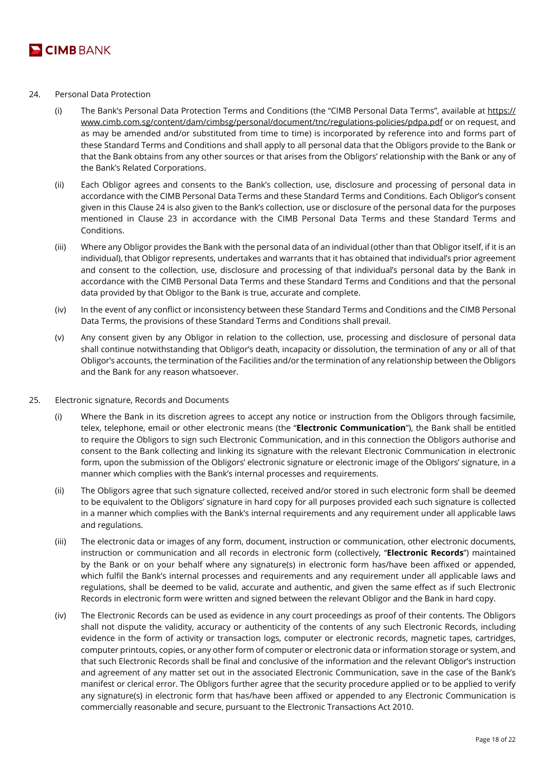

- 24. Personal Data Protection
	- (i) The Bank's Personal Data Protection Terms and Conditions (the "CIMB Personal Data Terms", available at https:// www.cimb.com.sg/content/dam/cimbsg/personal/document/tnc/regulations-policies/pdpa.pdf or on request, and as may be amended and/or substituted from time to time) is incorporated by reference into and forms part of these Standard Terms and Conditions and shall apply to all personal data that the Obligors provide to the Bank or that the Bank obtains from any other sources or that arises from the Obligors' relationship with the Bank or any of the Bank's Related Corporations.
	- (ii) Each Obligor agrees and consents to the Bank's collection, use, disclosure and processing of personal data in accordance with the CIMB Personal Data Terms and these Standard Terms and Conditions. Each Obligor's consent given in this Clause 24 is also given to the Bank's collection, use or disclosure of the personal data for the purposes mentioned in Clause 23 in accordance with the CIMB Personal Data Terms and these Standard Terms and Conditions.
	- (iii) Where any Obligor provides the Bank with the personal data of an individual (other than that Obligor itself, if it is an individual), that Obligor represents, undertakes and warrants that it has obtained that individual's prior agreement and consent to the collection, use, disclosure and processing of that individual's personal data by the Bank in accordance with the CIMB Personal Data Terms and these Standard Terms and Conditions and that the personal data provided by that Obligor to the Bank is true, accurate and complete.
	- (iv) In the event of any conflict or inconsistency between these Standard Terms and Conditions and the CIMB Personal Data Terms, the provisions of these Standard Terms and Conditions shall prevail.
	- (v) Any consent given by any Obligor in relation to the collection, use, processing and disclosure of personal data shall continue notwithstanding that Obligor's death, incapacity or dissolution, the termination of any or all of that Obligor's accounts, the termination of the Facilities and/or the termination of any relationship between the Obligors and the Bank for any reason whatsoever.
- 25. Electronic signature, Records and Documents
	- (i) Where the Bank in its discretion agrees to accept any notice or instruction from the Obligors through facsimile, telex, telephone, email or other electronic means (the "**Electronic Communication**"), the Bank shall be entitled to require the Obligors to sign such Electronic Communication, and in this connection the Obligors authorise and consent to the Bank collecting and linking its signature with the relevant Electronic Communication in electronic form, upon the submission of the Obligors' electronic signature or electronic image of the Obligors' signature, in a manner which complies with the Bank's internal processes and requirements.
	- (ii) The Obligors agree that such signature collected, received and/or stored in such electronic form shall be deemed to be equivalent to the Obligors' signature in hard copy for all purposes provided each such signature is collected in a manner which complies with the Bank's internal requirements and any requirement under all applicable laws and regulations.
	- (iii) The electronic data or images of any form, document, instruction or communication, other electronic documents, instruction or communication and all records in electronic form (collectively, "**Electronic Records**") maintained by the Bank or on your behalf where any signature(s) in electronic form has/have been affixed or appended, which fulfil the Bank's internal processes and requirements and any requirement under all applicable laws and regulations, shall be deemed to be valid, accurate and authentic, and given the same effect as if such Electronic Records in electronic form were written and signed between the relevant Obligor and the Bank in hard copy.
	- (iv) The Electronic Records can be used as evidence in any court proceedings as proof of their contents. The Obligors shall not dispute the validity, accuracy or authenticity of the contents of any such Electronic Records, including evidence in the form of activity or transaction logs, computer or electronic records, magnetic tapes, cartridges, computer printouts, copies, or any other form of computer or electronic data or information storage or system, and that such Electronic Records shall be final and conclusive of the information and the relevant Obligor's instruction and agreement of any matter set out in the associated Electronic Communication, save in the case of the Bank's manifest or clerical error. The Obligors further agree that the security procedure applied or to be applied to verify any signature(s) in electronic form that has/have been affixed or appended to any Electronic Communication is commercially reasonable and secure, pursuant to the Electronic Transactions Act 2010.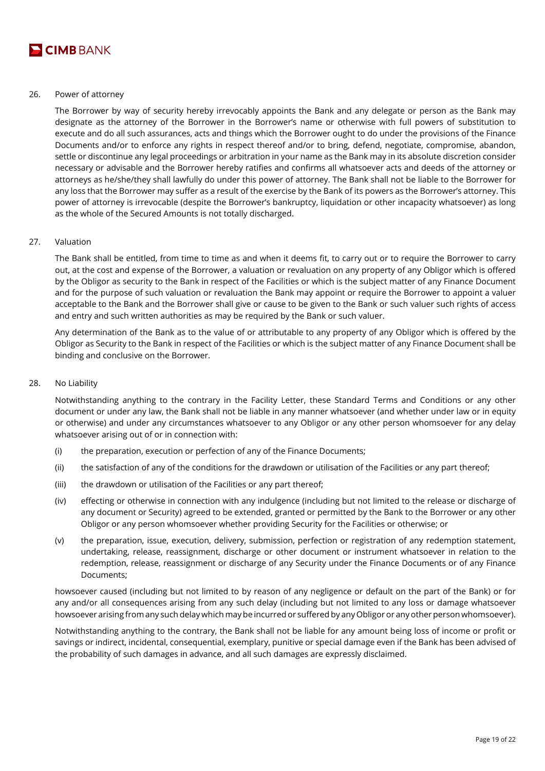

#### 26. Power of attorney

The Borrower by way of security hereby irrevocably appoints the Bank and any delegate or person as the Bank may designate as the attorney of the Borrower in the Borrower's name or otherwise with full powers of substitution to execute and do all such assurances, acts and things which the Borrower ought to do under the provisions of the Finance Documents and/or to enforce any rights in respect thereof and/or to bring, defend, negotiate, compromise, abandon, settle or discontinue any legal proceedings or arbitration in your name as the Bank may in its absolute discretion consider necessary or advisable and the Borrower hereby ratifies and confirms all whatsoever acts and deeds of the attorney or attorneys as he/she/they shall lawfully do under this power of attorney. The Bank shall not be liable to the Borrower for any loss that the Borrower may suffer as a result of the exercise by the Bank of its powers as the Borrower's attorney. This power of attorney is irrevocable (despite the Borrower's bankruptcy, liquidation or other incapacity whatsoever) as long as the whole of the Secured Amounts is not totally discharged.

# 27. Valuation

The Bank shall be entitled, from time to time as and when it deems fit, to carry out or to require the Borrower to carry out, at the cost and expense of the Borrower, a valuation or revaluation on any property of any Obligor which is offered by the Obligor as security to the Bank in respect of the Facilities or which is the subject matter of any Finance Document and for the purpose of such valuation or revaluation the Bank may appoint or require the Borrower to appoint a valuer acceptable to the Bank and the Borrower shall give or cause to be given to the Bank or such valuer such rights of access and entry and such written authorities as may be required by the Bank or such valuer.

Any determination of the Bank as to the value of or attributable to any property of any Obligor which is offered by the Obligor as Security to the Bank in respect of the Facilities or which is the subject matter of any Finance Document shall be binding and conclusive on the Borrower.

#### 28. No Liability

Notwithstanding anything to the contrary in the Facility Letter, these Standard Terms and Conditions or any other document or under any law, the Bank shall not be liable in any manner whatsoever (and whether under law or in equity or otherwise) and under any circumstances whatsoever to any Obligor or any other person whomsoever for any delay whatsoever arising out of or in connection with:

- (i) the preparation, execution or perfection of any of the Finance Documents;
- (ii) the satisfaction of any of the conditions for the drawdown or utilisation of the Facilities or any part thereof;
- (iii) the drawdown or utilisation of the Facilities or any part thereof;
- (iv) effecting or otherwise in connection with any indulgence (including but not limited to the release or discharge of any document or Security) agreed to be extended, granted or permitted by the Bank to the Borrower or any other Obligor or any person whomsoever whether providing Security for the Facilities or otherwise; or
- (v) the preparation, issue, execution, delivery, submission, perfection or registration of any redemption statement, undertaking, release, reassignment, discharge or other document or instrument whatsoever in relation to the redemption, release, reassignment or discharge of any Security under the Finance Documents or of any Finance Documents;

howsoever caused (including but not limited to by reason of any negligence or default on the part of the Bank) or for any and/or all consequences arising from any such delay (including but not limited to any loss or damage whatsoever howsoever arising from any such delay which may be incurred or suffered by any Obligor or any other person whomsoever).

Notwithstanding anything to the contrary, the Bank shall not be liable for any amount being loss of income or profit or savings or indirect, incidental, consequential, exemplary, punitive or special damage even if the Bank has been advised of the probability of such damages in advance, and all such damages are expressly disclaimed.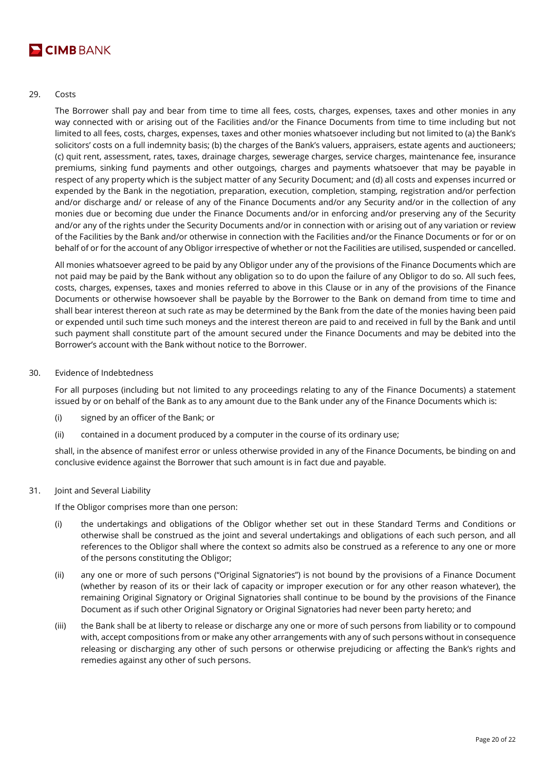

# 29. Costs

The Borrower shall pay and bear from time to time all fees, costs, charges, expenses, taxes and other monies in any way connected with or arising out of the Facilities and/or the Finance Documents from time to time including but not limited to all fees, costs, charges, expenses, taxes and other monies whatsoever including but not limited to (a) the Bank's solicitors' costs on a full indemnity basis; (b) the charges of the Bank's valuers, appraisers, estate agents and auctioneers; (c) quit rent, assessment, rates, taxes, drainage charges, sewerage charges, service charges, maintenance fee, insurance premiums, sinking fund payments and other outgoings, charges and payments whatsoever that may be payable in respect of any property which is the subject matter of any Security Document; and (d) all costs and expenses incurred or expended by the Bank in the negotiation, preparation, execution, completion, stamping, registration and/or perfection and/or discharge and/ or release of any of the Finance Documents and/or any Security and/or in the collection of any monies due or becoming due under the Finance Documents and/or in enforcing and/or preserving any of the Security and/or any of the rights under the Security Documents and/or in connection with or arising out of any variation or review of the Facilities by the Bank and/or otherwise in connection with the Facilities and/or the Finance Documents or for or on behalf of or for the account of any Obligor irrespective of whether or not the Facilities are utilised, suspended or cancelled.

All monies whatsoever agreed to be paid by any Obligor under any of the provisions of the Finance Documents which are not paid may be paid by the Bank without any obligation so to do upon the failure of any Obligor to do so. All such fees, costs, charges, expenses, taxes and monies referred to above in this Clause or in any of the provisions of the Finance Documents or otherwise howsoever shall be payable by the Borrower to the Bank on demand from time to time and shall bear interest thereon at such rate as may be determined by the Bank from the date of the monies having been paid or expended until such time such moneys and the interest thereon are paid to and received in full by the Bank and until such payment shall constitute part of the amount secured under the Finance Documents and may be debited into the Borrower's account with the Bank without notice to the Borrower.

# 30. Evidence of Indebtedness

For all purposes (including but not limited to any proceedings relating to any of the Finance Documents) a statement issued by or on behalf of the Bank as to any amount due to the Bank under any of the Finance Documents which is:

- (i) signed by an officer of the Bank; or
- (ii) contained in a document produced by a computer in the course of its ordinary use;

shall, in the absence of manifest error or unless otherwise provided in any of the Finance Documents, be binding on and conclusive evidence against the Borrower that such amount is in fact due and payable.

31. Joint and Several Liability

If the Obligor comprises more than one person:

- (i) the undertakings and obligations of the Obligor whether set out in these Standard Terms and Conditions or otherwise shall be construed as the joint and several undertakings and obligations of each such person, and all references to the Obligor shall where the context so admits also be construed as a reference to any one or more of the persons constituting the Obligor;
- (ii) any one or more of such persons ("Original Signatories") is not bound by the provisions of a Finance Document (whether by reason of its or their lack of capacity or improper execution or for any other reason whatever), the remaining Original Signatory or Original Signatories shall continue to be bound by the provisions of the Finance Document as if such other Original Signatory or Original Signatories had never been party hereto; and
- (iii) the Bank shall be at liberty to release or discharge any one or more of such persons from liability or to compound with, accept compositions from or make any other arrangements with any of such persons without in consequence releasing or discharging any other of such persons or otherwise prejudicing or affecting the Bank's rights and remedies against any other of such persons.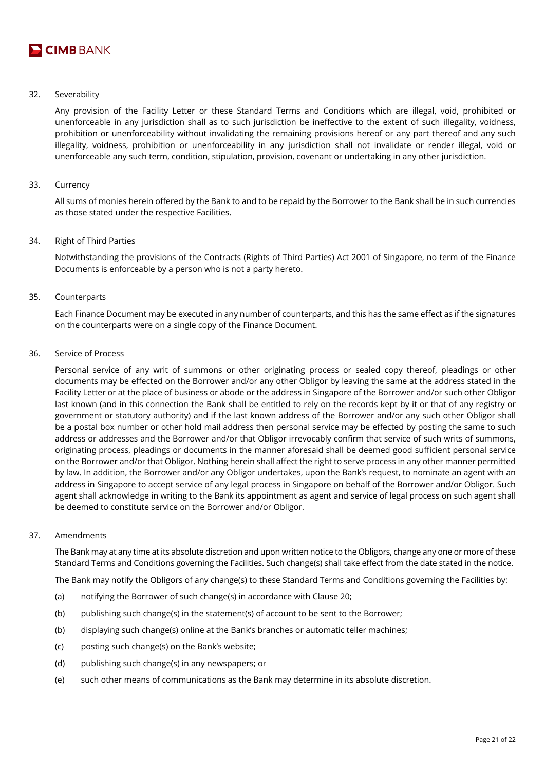

# 32. Severability

Any provision of the Facility Letter or these Standard Terms and Conditions which are illegal, void, prohibited or unenforceable in any jurisdiction shall as to such jurisdiction be ineffective to the extent of such illegality, voidness, prohibition or unenforceability without invalidating the remaining provisions hereof or any part thereof and any such illegality, voidness, prohibition or unenforceability in any jurisdiction shall not invalidate or render illegal, void or unenforceable any such term, condition, stipulation, provision, covenant or undertaking in any other jurisdiction.

# 33. Currency

All sums of monies herein offered by the Bank to and to be repaid by the Borrower to the Bank shall be in such currencies as those stated under the respective Facilities.

## 34. Right of Third Parties

Notwithstanding the provisions of the Contracts (Rights of Third Parties) Act 2001 of Singapore, no term of the Finance Documents is enforceable by a person who is not a party hereto.

# 35. Counterparts

Each Finance Document may be executed in any number of counterparts, and this has the same effect as if the signatures on the counterparts were on a single copy of the Finance Document.

#### 36. Service of Process

Personal service of any writ of summons or other originating process or sealed copy thereof, pleadings or other documents may be effected on the Borrower and/or any other Obligor by leaving the same at the address stated in the Facility Letter or at the place of business or abode or the address in Singapore of the Borrower and/or such other Obligor last known (and in this connection the Bank shall be entitled to rely on the records kept by it or that of any registry or government or statutory authority) and if the last known address of the Borrower and/or any such other Obligor shall be a postal box number or other hold mail address then personal service may be effected by posting the same to such address or addresses and the Borrower and/or that Obligor irrevocably confirm that service of such writs of summons, originating process, pleadings or documents in the manner aforesaid shall be deemed good sufficient personal service on the Borrower and/or that Obligor. Nothing herein shall affect the right to serve process in any other manner permitted by law. In addition, the Borrower and/or any Obligor undertakes, upon the Bank's request, to nominate an agent with an address in Singapore to accept service of any legal process in Singapore on behalf of the Borrower and/or Obligor. Such agent shall acknowledge in writing to the Bank its appointment as agent and service of legal process on such agent shall be deemed to constitute service on the Borrower and/or Obligor.

#### 37. Amendments

The Bank may at any time at its absolute discretion and upon written notice to the Obligors, change any one or more of these Standard Terms and Conditions governing the Facilities. Such change(s) shall take effect from the date stated in the notice.

The Bank may notify the Obligors of any change(s) to these Standard Terms and Conditions governing the Facilities by:

- (a) notifying the Borrower of such change(s) in accordance with Clause 20;
- (b) publishing such change(s) in the statement(s) of account to be sent to the Borrower;
- (b) displaying such change(s) online at the Bank's branches or automatic teller machines;
- (c) posting such change(s) on the Bank's website;
- (d) publishing such change(s) in any newspapers; or
- (e) such other means of communications as the Bank may determine in its absolute discretion.